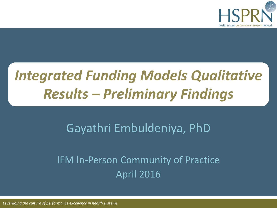

## *Integrated Funding Models Qualitative Results – Preliminary Findings*

### Gayathri Embuldeniya, PhD

### IFM In-Person Community of Practice April 2016

*Leveraging the culture of performance excellence in health systems*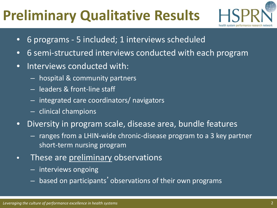## **Preliminary Qualitative Results**



- 6 programs 5 included; 1 interviews scheduled
- 6 semi-structured interviews conducted with each program
- Interviews conducted with:
	- hospital & community partners
	- leaders & front-line staff
	- integrated care coordinators/ navigators
	- clinical champions
- Diversity in program scale, disease area, bundle features
	- ranges from a LHIN-wide chronic-disease program to a 3 key partner short-term nursing program
- These are preliminary observations
	- interviews ongoing
	- based on participants'observations of their own programs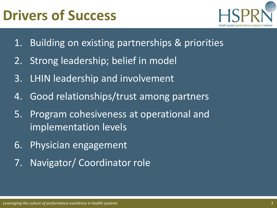### **Drivers of Success**



- 1. Building on existing partnerships & priorities
- 2. Strong leadership; belief in model
- 3. LHIN leadership and involvement
- 4. Good relationships/trust among partners
- 5. Program cohesiveness at operational and implementation levels
- 6. Physician engagement
- 7. Navigator/ Coordinator role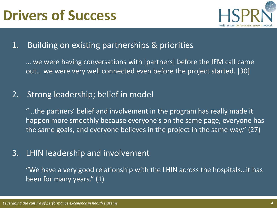

#### 1. Building on existing partnerships & priorities

… we were having conversations with [partners] before the IFM call came out… we were very well connected even before the project started. [30]

#### 2. Strong leadership; belief in model

"...the partners' belief and involvement in the program has really made it happen more smoothly because everyone's on the same page, everyone has the same goals, and everyone believes in the project in the same way." (27)

#### 3. LHIN leadership and involvement

"We have a very good relationship with the LHIN across the hospitals…it has been for many years." (1)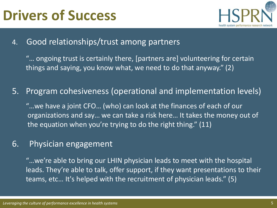### **Drivers of Success**



4. Good relationships/trust among partners

"… ongoing trust is certainly there, [partners are] volunteering for certain things and saying, you know what, we need to do that anyway." (2)

5. Program cohesiveness (operational and implementation levels)

"…we have a joint CFO… (who) can look at the finances of each of our organizations and say… we can take a risk here… It takes the money out of the equation when you're trying to do the right thing." (11)

#### 6. Physician engagement

"…we're able to bring our LHIN physician leads to meet with the hospital leads. They're able to talk, offer support, if they want presentations to their teams, etc… It's helped with the recruitment of physician leads." (5)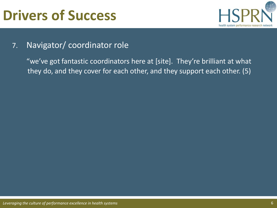## **Drivers of Success**



#### 7. Navigator/ coordinator role

"we've got fantastic coordinators here at [site]. They're brilliant at what they do, and they cover for each other, and they support each other. (5)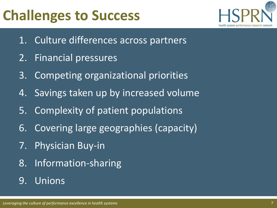## **Challenges to Success**



- 1. Culture differences across partners
- 2. Financial pressures
- 3. Competing organizational priorities
- 4. Savings taken up by increased volume
- 5. Complexity of patient populations
- 6. Covering large geographies (capacity)
- 7. Physician Buy-in
- 8. Information-sharing

### 9. Unions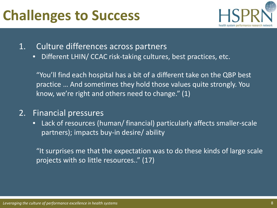### **Challenges to Success**



- 1. Culture differences across partners
	- Different LHIN/ CCAC risk-taking cultures, best practices, etc.

"You'll find each hospital has a bit of a different take on the QBP best practice … And sometimes they hold those values quite strongly. You know, we're right and others need to change." (1)

- 2. Financial pressures
	- Lack of resources (human/ financial) particularly affects smaller-scale partners); impacts buy-in desire/ ability

If the surprises me that the expectation was to do these kinds of large scale projects with so little resources.." (17)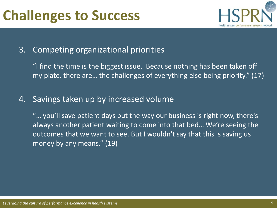

#### 3. Competing organizational priorities

"I find the time is the biggest issue. Because nothing has been taken off my plate. there are… the challenges of everything else being priority." (17)

#### 4. Savings taken up by increased volume

"… you'll save patient days but the way our business is right now, there's always another patient waiting to come into that bed… We're seeing the outcomes that we want to see. But I wouldn't say that this is saving us money by any means." (19)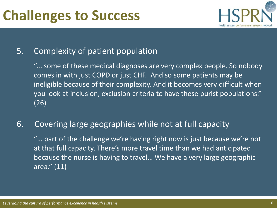

#### 5. Complexity of patient population

"... some of these medical diagnoses are very complex people. So nobody comes in with just COPD or just CHF. And so some patients may be ineligible because of their complexity. And it becomes very difficult when you look at inclusion, exclusion criteria to have these purist populations." (26)

#### 6. Covering large geographies while not at full capacity

"… part of the challenge we're having right now is just because we're not at that full capacity. There's more travel time than we had anticipated because the nurse is having to travel… We have a very large geographic area." (11)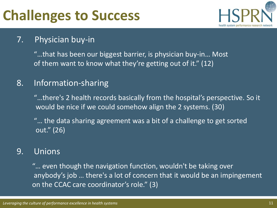## **Challenges to Success**



#### 7. Physician buy-in

"…that has been our biggest barrier, is physician buy-in… Most of them want to know what they're getting out of it." (12)

#### 8. Information-sharing

"...there's 2 health records basically from the hospital's perspective. So it would be nice if we could somehow align the 2 systems. (30)

"… the data sharing agreement was a bit of a challenge to get sorted out." (26)

#### 9. Unions

"… even though the navigation function, wouldn't be taking over anybody's job … there's a lot of concern that it would be an impingement on the CCAC care coordinator's role." (3)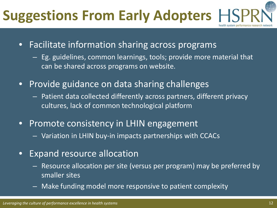# **Suggestions From Early Adopters**

- Facilitate information sharing across programs
	- Eg. guidelines, common learnings, tools; provide more material that can be shared across programs on website.
- Provide guidance on data sharing challenges
	- Patient data collected differently across partners, different privacy cultures, lack of common technological platform
- Promote consistency in LHIN engagement
	- Variation in LHIN buy-in impacts partnerships with CCACs
- Expand resource allocation
	- Resource allocation per site (versus per program) may be preferred by smaller sites
	- Make funding model more responsive to patient complexity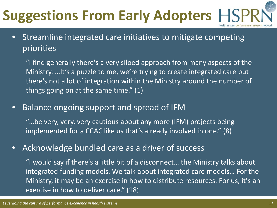# **Suggestions From Early Adopters**

• Streamline integrated care initiatives to mitigate competing priorities

"I find generally there's a very siloed approach from many aspects of the Ministry. …It's a puzzle to me, we're trying to create integrated care but there's not a lot of integration within the Ministry around the number of things going on at the same time." (1)

• Balance ongoing support and spread of IFM

"…be very, very, very cautious about any more (IFM) projects being implemented for a CCAC like us that's already involved in one." (8)

• Acknowledge bundled care as a driver of success

"I would say if there's a little bit of a disconnect… the Ministry talks about integrated funding models. We talk about integrated care models… For the Ministry, it may be an exercise in how to distribute resources. For us, it's an exercise in how to deliver care." (18)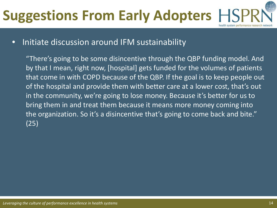# **Suggestions From Early Adopters**

#### • Initiate discussion around IFM sustainability

"There's going to be some disincentive through the QBP funding model. And by that I mean, right now, [hospital] gets funded for the volumes of patients that come in with COPD because of the QBP. If the goal is to keep people out of the hospital and provide them with better care at a lower cost, that's out in the community, we're going to lose money. Because it's better for us to bring them in and treat them because it means more money coming into the organization. So it's a disincentive that's going to come back and bite." (25)